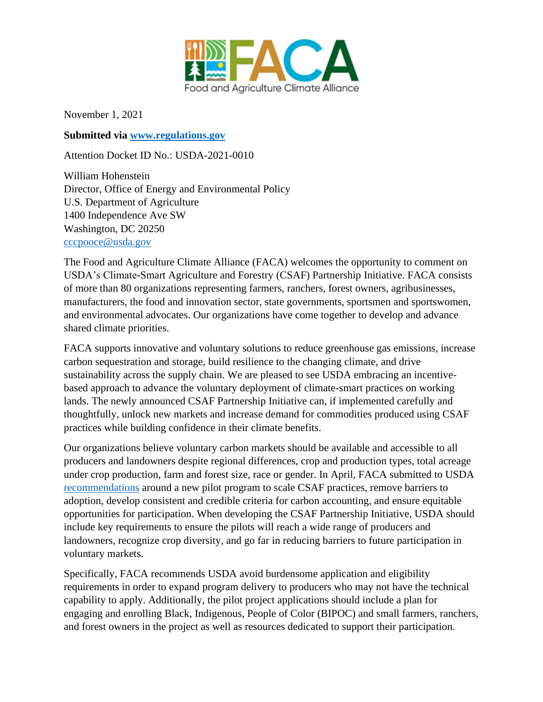

November 1, 2021

**Submitted via [www.regulations.gov](http://www.regulations.gov/)**

Attention Docket ID No.: USDA-2021-0010

William Hohenstein Director, Office of Energy and Environmental Policy U.S. Department of Agriculture 1400 Independence Ave SW Washington, DC 20250 [cccpooce@usda.gov](mailto:cccpooce@usda.gov)

The Food and Agriculture Climate Alliance (FACA) welcomes the opportunity to comment on USDA's Climate-Smart Agriculture and Forestry (CSAF) Partnership Initiative. FACA consists of more than 80 organizations representing farmers, ranchers, forest owners, agribusinesses, manufacturers, the food and innovation sector, state governments, sportsmen and sportswomen, and environmental advocates. Our organizations have come together to develop and advance shared climate priorities.

FACA supports innovative and voluntary solutions to reduce greenhouse gas emissions, increase carbon sequestration and storage, build resilience to the changing climate, and drive sustainability across the supply chain. We are pleased to see USDA embracing an incentivebased approach to advance the voluntary deployment of climate-smart practices on working lands. The newly announced CSAF Partnership Initiative can, if implemented carefully and thoughtfully, unlock new markets and increase demand for commodities produced using CSAF practices while building confidence in their climate benefits.

Our organizations believe voluntary carbon markets should be available and accessible to all producers and landowners despite regional differences, crop and production types, total acreage under crop production, farm and forest size, race or gender. In April, FACA submitted to USDA [recommendations](https://agclimatealliance.com/files/2021/05/faca_carbon_bank_recs_202105.pdf) around a new pilot program to scale CSAF practices, remove barriers to adoption, develop consistent and credible criteria for carbon accounting, and ensure equitable opportunities for participation. When developing the CSAF Partnership Initiative, USDA should include key requirements to ensure the pilots will reach a wide range of producers and landowners, recognize crop diversity, and go far in reducing barriers to future participation in voluntary markets.

Specifically, FACA recommends USDA avoid burdensome application and eligibility requirements in order to expand program delivery to producers who may not have the technical capability to apply. Additionally, the pilot project applications should include a plan for engaging and enrolling Black, Indigenous, People of Color (BIPOC) and small farmers, ranchers, and forest owners in the project as well as resources dedicated to support their participation.